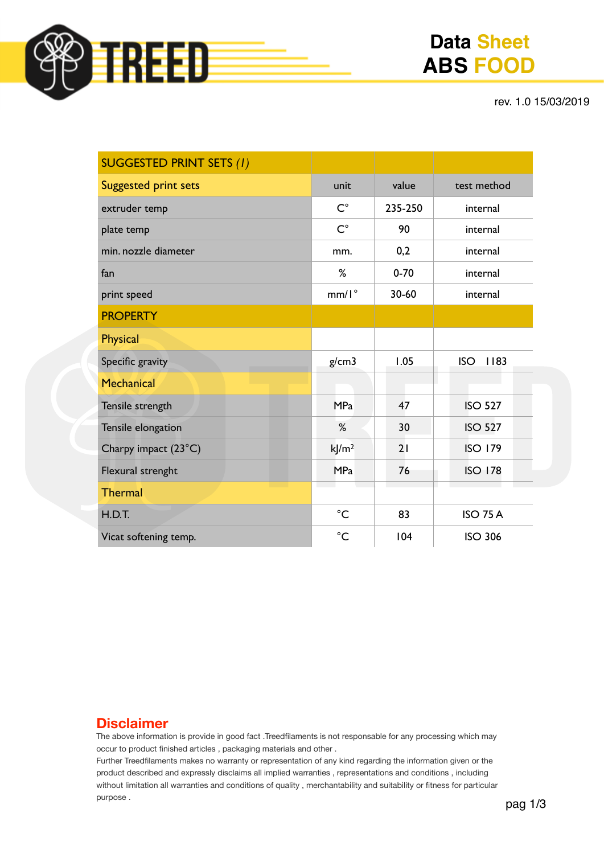

# **Data Sheet ABS FOOD**

rev. 1.0 15/03/2019

| <b>SUGGESTED PRINT SETS (1)</b> |                  |          |                    |  |
|---------------------------------|------------------|----------|--------------------|--|
| <b>Suggested print sets</b>     | unit             | value    | test method        |  |
| extruder temp                   | $C^{\circ}$      | 235-250  | internal           |  |
| plate temp                      | $C^{\circ}$      | 90       | internal           |  |
| min. nozzle diameter            | mm.              | 0,2      | internal           |  |
| fan                             | %                | $0 - 70$ | internal           |  |
| print speed                     | $mm/I^{\circ}$   | 30-60    | internal           |  |
| <b>PROPERTY</b>                 |                  |          |                    |  |
| <b>Physical</b>                 |                  |          |                    |  |
| Specific gravity                | g/cm3            | 1.05     | <b>ISO</b><br>1183 |  |
| Mechanical                      |                  |          |                    |  |
| Tensile strength                | <b>MPa</b>       | 47       | <b>ISO 527</b>     |  |
| Tensile elongation              | %                | 30       | <b>ISO 527</b>     |  |
| Charpy impact (23°C)            | k/m <sup>2</sup> | 21       | <b>ISO 179</b>     |  |
| Flexural strenght               | <b>MPa</b>       | 76       | <b>ISO 178</b>     |  |
| <b>Thermal</b>                  |                  |          |                    |  |
| H.D.T.                          | $^{\circ}C$      | 83       | <b>ISO 75 A</b>    |  |
| Vicat softening temp.           | $^{\circ}C$      | 104      | <b>ISO 306</b>     |  |

## **Disclaimer**

The above information is provide in good fact .Treedfilaments is not responsable for any processing which may occur to product finished articles , packaging materials and other .

Further Treedfilaments makes no warranty or representation of any kind regarding the information given or the product described and expressly disclaims all implied warranties , representations and conditions , including without limitation all warranties and conditions of quality , merchantability and suitability or fitness for particular purpose .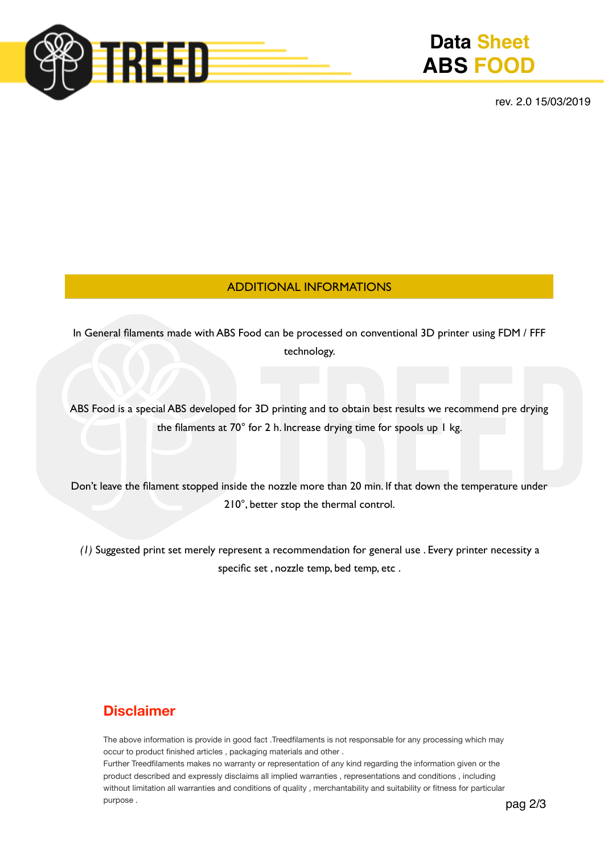

# **Data Sheet ABS FOOD**

rev. 2.0 15/03/2019

### ADDITIONAL INFORMATIONS

In General filaments made with ABS Food can be processed on conventional 3D printer using FDM / FFF technology.

ABS Food is a special ABS developed for 3D printing and to obtain best results we recommend pre drying the filaments at 70° for 2 h. Increase drying time for spools up 1 kg.

Don't leave the filament stopped inside the nozzle more than 20 min. If that down the temperature under 210°, better stop the thermal control.

*(1)* Suggested print set merely represent a recommendation for general use . Every printer necessity a specific set , nozzle temp, bed temp, etc .

# **Disclaimer**

The above information is provide in good fact .Treedfilaments is not responsable for any processing which may occur to product finished articles , packaging materials and other .

Further Treedfilaments makes no warranty or representation of any kind regarding the information given or the product described and expressly disclaims all implied warranties , representations and conditions , including without limitation all warranties and conditions of quality , merchantability and suitability or fitness for particular purpose .